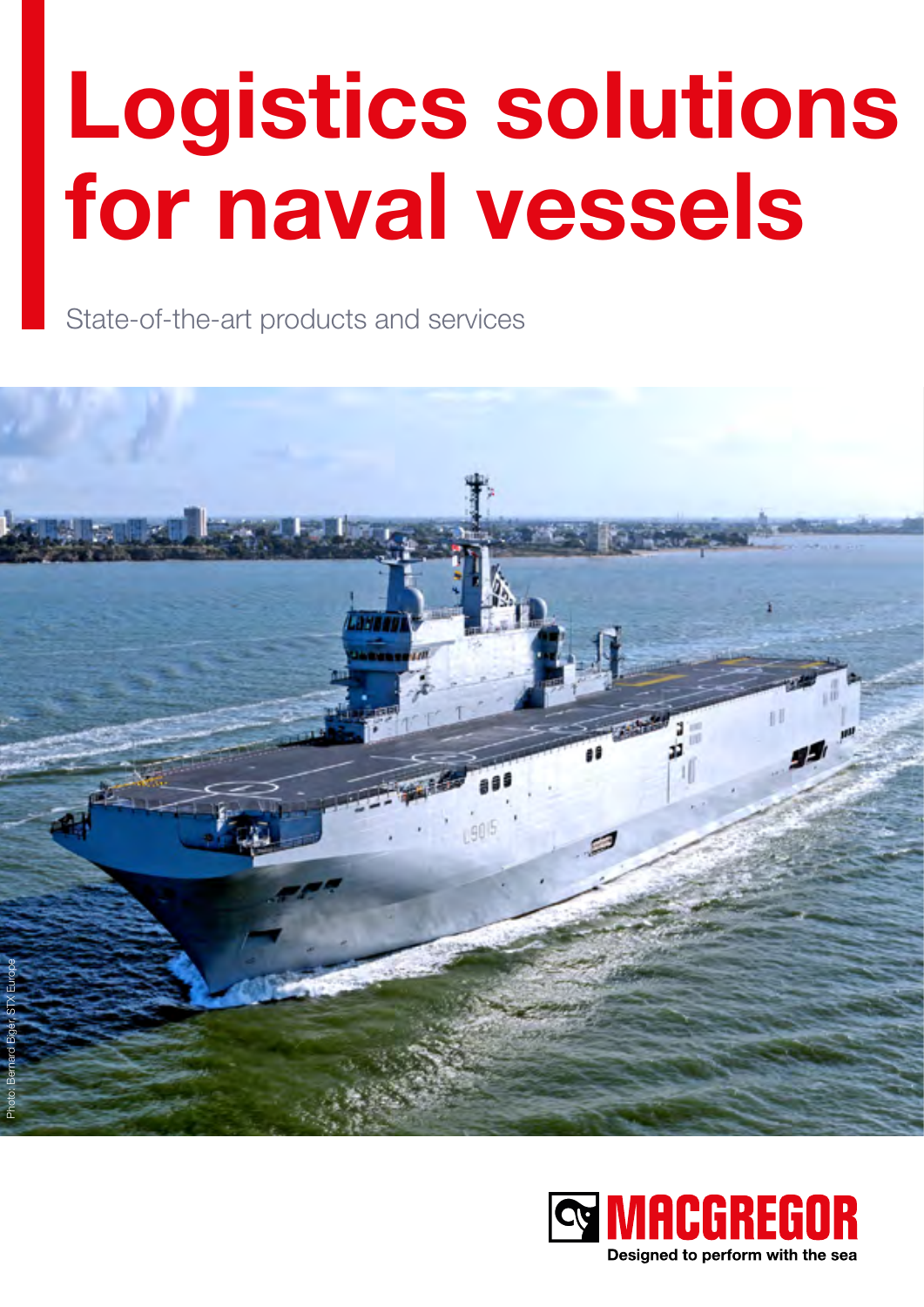# **Logistics solutions for naval vessels**

State-of-the-art products and services



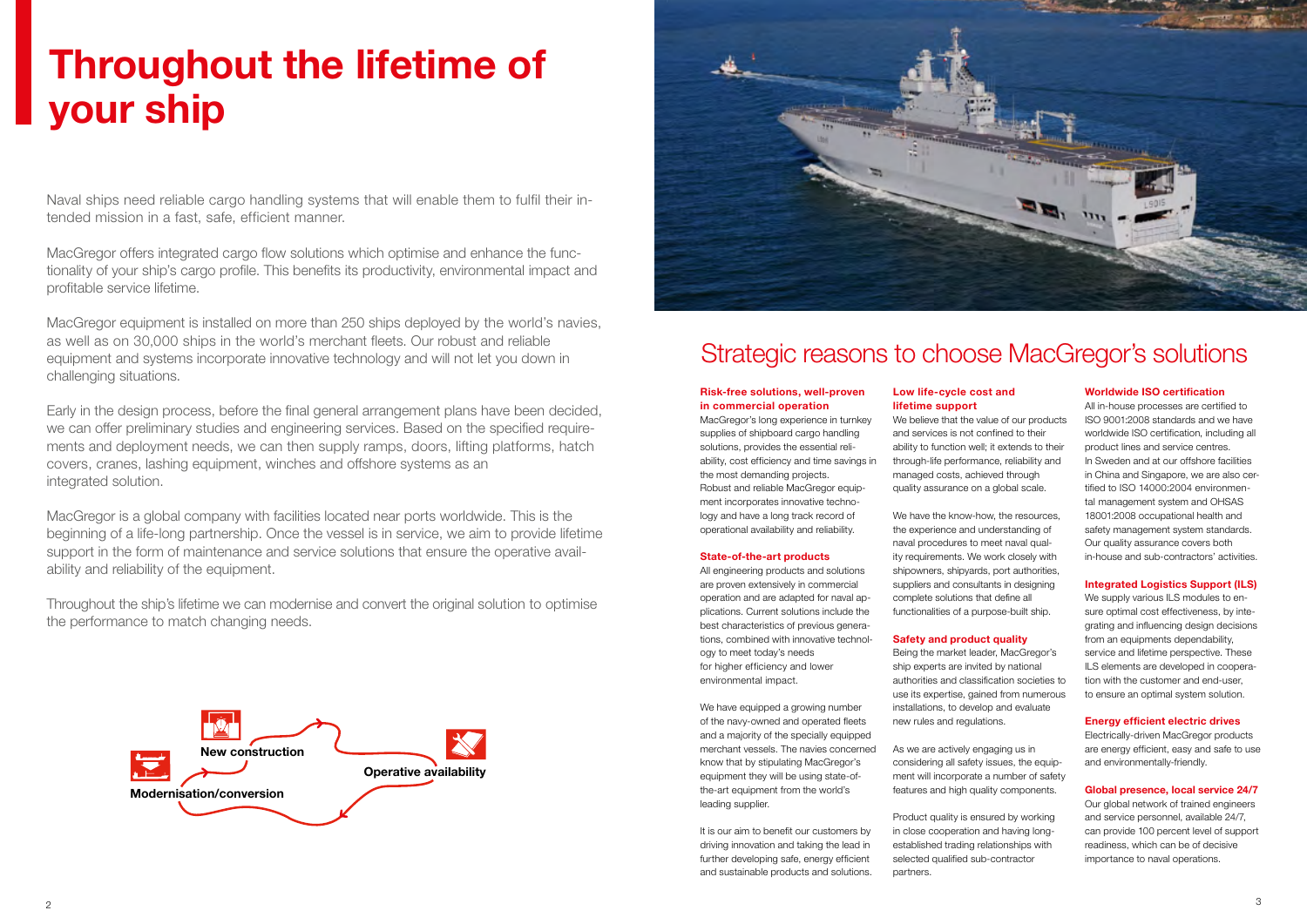Naval ships need reliable cargo handling systems that will enable them to fulfil their intended mission in a fast, safe, efficient manner.

MacGregor offers integrated cargo flow solutions which optimise and enhance the functionality of your ship's cargo profile. This benefits its productivity, environmental impact and profitable service lifetime.

MacGregor equipment is installed on more than 250 ships deployed by the world's navies, as well as on 30,000 ships in the world's merchant fleets. Our robust and reliable equipment and systems incorporate innovative technology and will not let you down in challenging situations.

Early in the design process, before the final general arrangement plans have been decided, we can offer preliminary studies and engineering services. Based on the specified requirements and deployment needs, we can then supply ramps, doors, lifting platforms, hatch covers, cranes, lashing equipment, winches and offshore systems as an integrated solution.

MacGregor is a global company with facilities located near ports worldwide. This is the beginning of a life-long partnership. Once the vessel is in service, we aim to provide lifetime support in the form of maintenance and service solutions that ensure the operative availability and reliability of the equipment.

Throughout the ship's lifetime we can modernise and convert the original solution to optimise the performance to match changing needs.

## **Throughout the lifetime of your ship**





#### **Risk-free solutions, well-proven in commercial operation**

MacGregor's long experience in turnkey supplies of shipboard cargo handling solutions, provides the essential reliability, cost efficiency and time savings in the most demanding projects. Robust and reliable MacGregor equipment incorporates innovative technology and have a long track record of operational availability and reliability.

### **State-of-the-art products**

All engineering products and solutions are proven extensively in commercial operation and are adapted for naval applications. Current solutions include the best characteristics of previous generations, combined with innovative technology to meet today's needs for higher efficiency and lower environmental impact.

We have equipped a growing number of the navy-owned and operated fleets and a majority of the specially equipped merchant vessels. The navies concerned know that by stipulating MacGregor's equipment they will be using state-ofthe-art equipment from the world's leading supplier.

It is our aim to benefit our customers by driving innovation and taking the lead in further developing safe, energy efficient and sustainable products and solutions.

### **Low life-cycle cost and lifetime support**

We believe that the value of our products and services is not confined to their ability to function well; it extends to their through-life performance, reliability and managed costs, achieved through quality assurance on a global scale.

We have the know-how, the resources, the experience and understanding of naval procedures to meet naval quality requirements. We work closely with shipowners, shipyards, port authorities, suppliers and consultants in designing complete solutions that define all functionalities of a purpose-built ship.

### **Safety and product quality**

Being the market leader, MacGregor's ship experts are invited by national authorities and classification societies to use its expertise, gained from numerous installations, to develop and evaluate new rules and regulations.

As we are actively engaging us in considering all safety issues, the equipment will incorporate a number of safety features and high quality components.

Product quality is ensured by working in close cooperation and having longestablished trading relationships with selected qualified sub-contractor partners.

### **Worldwide ISO certification**

All in-house processes are certified to ISO 9001:2008 standards and we have worldwide ISO certification, including all product lines and service centres. In Sweden and at our offshore facilities in China and Singapore, we are also certified to ISO 14000:2004 environmental management system and OHSAS 18001:2008 occupational health and safety management system standards. Our quality assurance covers both in-house and sub-contractors' activities.

#### **Integrated Logistics Support (ILS)**

We supply various ILS modules to ensure optimal cost effectiveness, by integrating and influencing design decisions from an equipments dependability, service and lifetime perspective. These ILS elements are developed in cooperation with the customer and end-user, to ensure an optimal system solution.

#### **Energy efficient electric drives**

Electrically-driven MacGregor products are energy efficient, easy and safe to use and environmentally-friendly.

#### **Global presence, local service 24/7**

Our global network of trained engineers and service personnel, available 24/7, can provide 100 percent level of support readiness, which can be of decisive importance to naval operations.

## Strategic reasons to choose MacGregor's solutions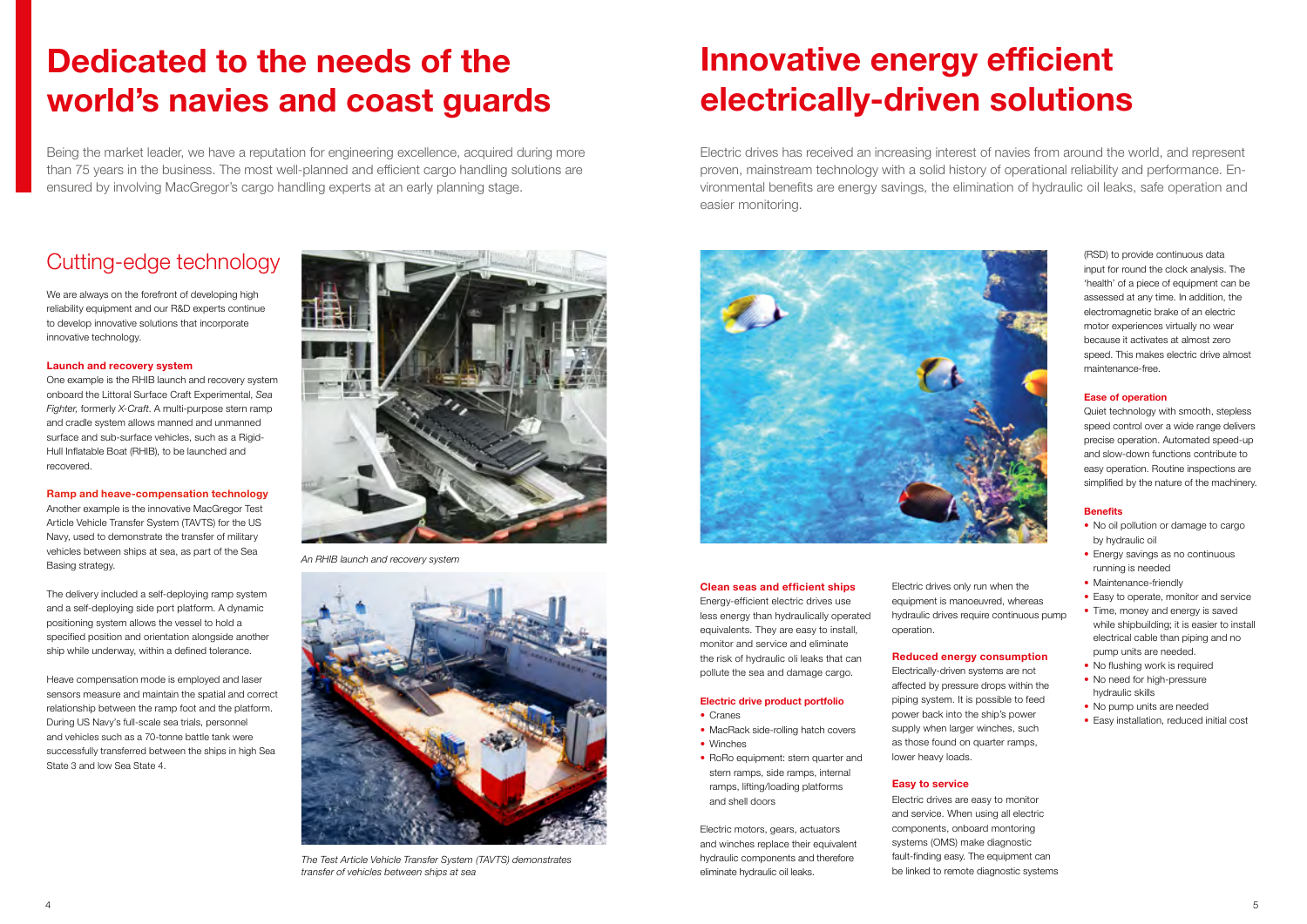## **Dedicated to the needs of the world's navies and coast guards**

Being the market leader, we have a reputation for engineering excellence, acquired during more than 75 years in the business. The most well-planned and efficient cargo handling solutions are ensured by involving MacGregor's cargo handling experts at an early planning stage.



*An RHIB launch and recovery system*



*The Test Article Vehicle Transfer System (TAVTS) demonstrates transfer of vehicles between ships at sea*

## Cutting-edge technology

We are always on the forefront of developing high reliability equipment and our R&D experts continue to develop innovative solutions that incorporate innovative technology.

### **Launch and recovery system**

One example is the RHIB launch and recovery system onboard the Littoral Surface Craft Experimental, *Sea Fighter,* formerly *X-Craft*. A multi-purpose stern ramp and cradle system allows manned and unmanned surface and sub-surface vehicles, such as a Rigid-Hull Inflatable Boat (RHIB), to be launched and recovered.

### **Ramp and heave-compensation technology**

Another example is the innovative MacGregor Test Article Vehicle Transfer System (TAVTS) for the US Navy, used to demonstrate the transfer of military vehicles between ships at sea, as part of the Sea Basing strategy.

The delivery included a self-deploying ramp system and a self-deploying side port platform. A dynamic positioning system allows the vessel to hold a specified position and orientation alongside another ship while underway, within a defined tolerance.

Heave compensation mode is employed and laser sensors measure and maintain the spatial and correct relationship between the ramp foot and the platform. During US Navy's full-scale sea trials, personnel and vehicles such as a 70-tonne battle tank were successfully transferred between the ships in high Sea State 3 and low Sea State 4.

#### **Clean seas and efficient ships**

Energy-efficient electric drives use less energy than hydraulically operated equivalents. They are easy to install, monitor and service and eliminate the risk of hydraulic oli leaks that can pollute the sea and damage cargo.

### **Electric drive product portfolio**

- Cranes
- MacRack side-rolling hatch covers
- Winches
- RoRo equipment: stern quarter and stern ramps, side ramps, internal ramps, lifting/loading platforms and shell doors
- No oil pollution or damage to cargo by hydraulic oil
- Energy savings as no continuous running is needed
- Maintenance-friendly
- Easy to operate, monitor and service
- Time, money and energy is saved while shipbuilding; it is easier to install electrical cable than piping and no pump units are needed.
- No flushing work is required
- No need for high-pressure hydraulic skills
- No pump units are needed
- Easy installation, reduced initial cost

Electric motors, gears, actuators and winches replace their equivalent hydraulic components and therefore eliminate hydraulic oil leaks.

## **Innovative energy efficient electrically-driven solutions**

Electric drives has received an increasing interest of navies from around the world, and represent proven, mainstream technology with a solid history of operational reliability and performance. Environmental benefits are energy savings, the elimination of hydraulic oil leaks, safe operation and easier monitoring.



Electric drives only run when the equipment is manoeuvred, whereas hydraulic drives require continuous pump operation.

#### **Reduced energy consumption**

Electrically-driven systems are not affected by pressure drops within the piping system. It is possible to feed power back into the ship's power supply when larger winches, such as those found on quarter ramps, lower heavy loads.

### **Easy to service**

Electric drives are easy to monitor and service. When using all electric components, onboard montoring systems (OMS) make diagnostic fault-finding easy. The equipment can be linked to remote diagnostic systems

(RSD) to provide continuous data input for round the clock analysis. The 'health' of a piece of equipment can be assessed at any time. In addition, the electromagnetic brake of an electric motor experiences virtually no wear because it activates at almost zero speed. This makes electric drive almost maintenance-free.

#### **Ease of operation**

Quiet technology with smooth, stepless speed control over a wide range delivers precise operation. Automated speed-up and slow-down functions contribute to easy operation. Routine inspections are simplified by the nature of the machinery.

#### **Benefits**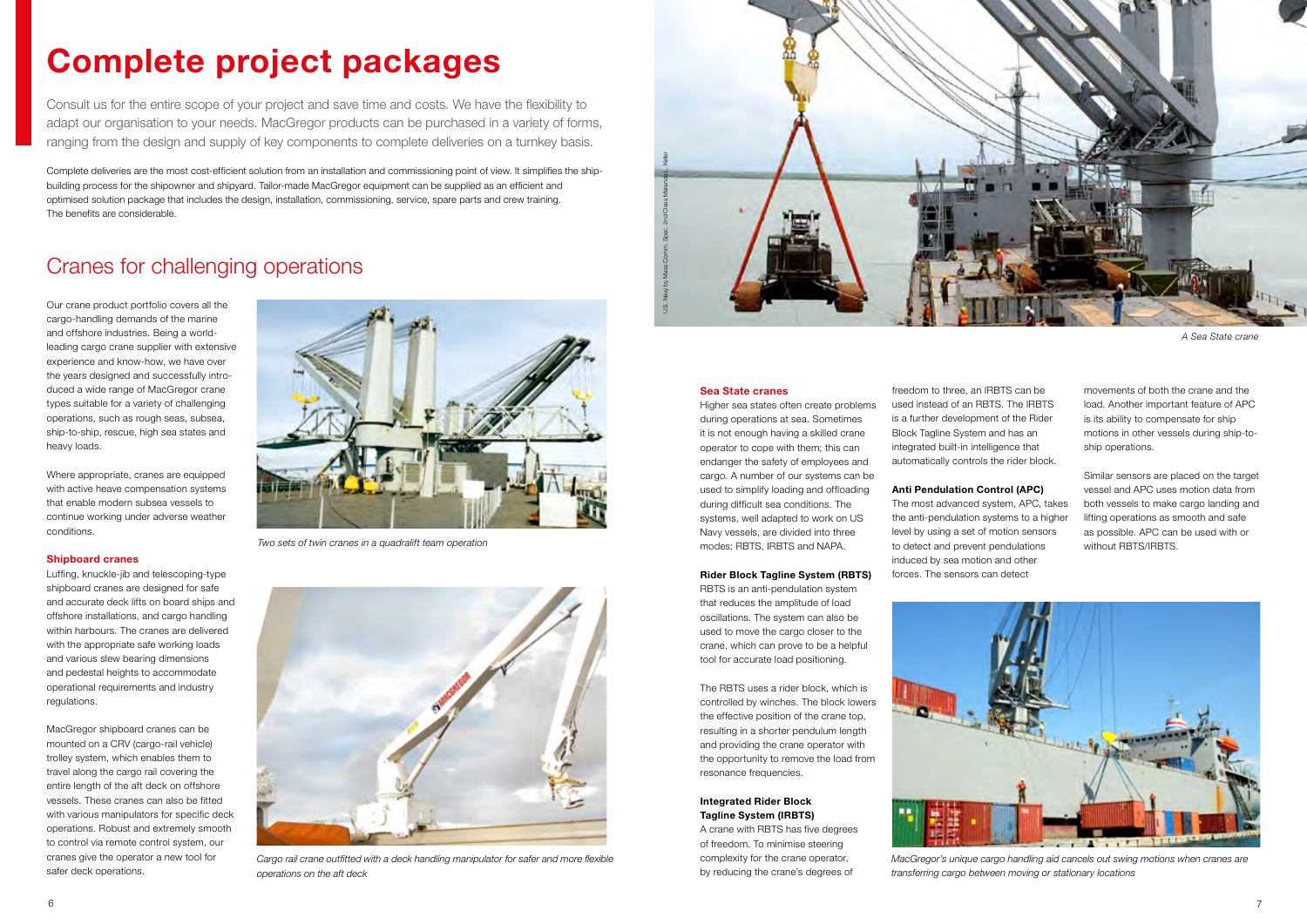## **Complete project packages**

Consult us for the entire scope of your project and save time and costs. We have the flexibility to adapt our organisation to your needs. MacGregor products can be purchased in a variety of forms, ranging from the design and supply of key components to complete deliveries on a turnkey basis.

Complete deliveries are the most cost-efficient solution from an installation and commissioning point of view. It simplifies the shipbuilding process for the shipowner and shipyard. Tailor-made MacGregor equipment can be supplied as an efficient and optimised solution package that includes the design, installation, commissioning, service, spare parts and crew training. The benefits are considerable.

Our crane product portfolio covers all the cargo-handling demands of the marine and offshore industries. Being a worldleading cargo crane supplier with extensive experience and know-how, we have over the years designed and successfully introduced a wide range of MacGregor crane types suitable for a variety of challenging operations, such as rough seas, subsea, ship-to-ship, rescue, high sea states and heavy loads.

Where appropriate, cranes are equipped with active heave compensation systems that enable modern subsea vessels to continue working under adverse weather conditions.

#### **Shipboard cranes**

Luffing, knuckle-jib and telescoping-type shipboard cranes are designed for safe and accurate deck lifts on board ships and offshore installations, and cargo handling within harbours. The cranes are delivered with the appropriate safe working loads and various slew bearing dimensions and pedestal heights to accommodate operational requirements and industry regulations.

MacGregor shipboard cranes can be mounted on a CRV (cargo-rail vehicle) trolley system, which enables them to travel along the cargo rail covering the entire length of the aft deck on offshore vessels. These cranes can also be fitted with various manipulators for specific deck operations. Robust and extremely smooth to control via remote control system, our cranes give the operator a new tool for safer deck operations.

### Cranes for challenging operations



*Cargo rail crane outfitted with a deck handling manipulator for safer and more flexible operations on the aft deck*

Similar sensors are placed on the target vessel and APC uses motion data from both vessels to make cargo landing and lifting operations as smooth and safe as possible. APC can be used with or without RBTS/IRBTS.



*Two sets of twin cranes in a quadralift team operation*

#### **Sea State cranes**

Higher sea states often create problems during operations at sea. Sometimes it is not enough having a skilled crane operator to cope with them; this can endanger the safety of employees and cargo. A number of our systems can be used to simplify loading and offloading during difficult sea conditions. The systems, well adapted to work on US Navy vessels, are divided into three modes: RBTS, IRBTS and NAPA.

#### **Rider Block Tagline System (RBTS)**

RBTS is an anti-pendulation system that reduces the amplitude of load oscillations. The system can also be used to move the cargo closer to the crane, which can prove to be a helpful tool for accurate load positioning.

The RBTS uses a rider block, which is controlled by winches. The block lowers the effective position of the crane top, resulting in a shorter pendulum length and providing the crane operator with the opportunity to remove the load from resonance frequencies.

### **Integrated Rider Block Tagline System (IRBTS)**

A crane with RBTS has five degrees of freedom. To minimise steering complexity for the crane operator, by reducing the crane's degrees of

freedom to three, an IRBTS can be used instead of an RBTS. The IRBTS is a further development of the Rider Block Tagline System and has an integrated built-in intelligence that automatically controls the rider block.

#### **Anti Pendulation Control (APC)**

The most advanced system, APC, takes the anti-pendulation systems to a higher level by using a set of motion sensors to detect and prevent pendulations induced by sea motion and other forces. The sensors can detect

*A Sea State crane*



*MacGregor's unique cargo handling aid cancels out swing motions when cranes are transferring cargo between moving or stationary locations*

movements of both the crane and the load. Another important feature of APC is its ability to compensate for ship motions in other vessels during ship-toship operations.

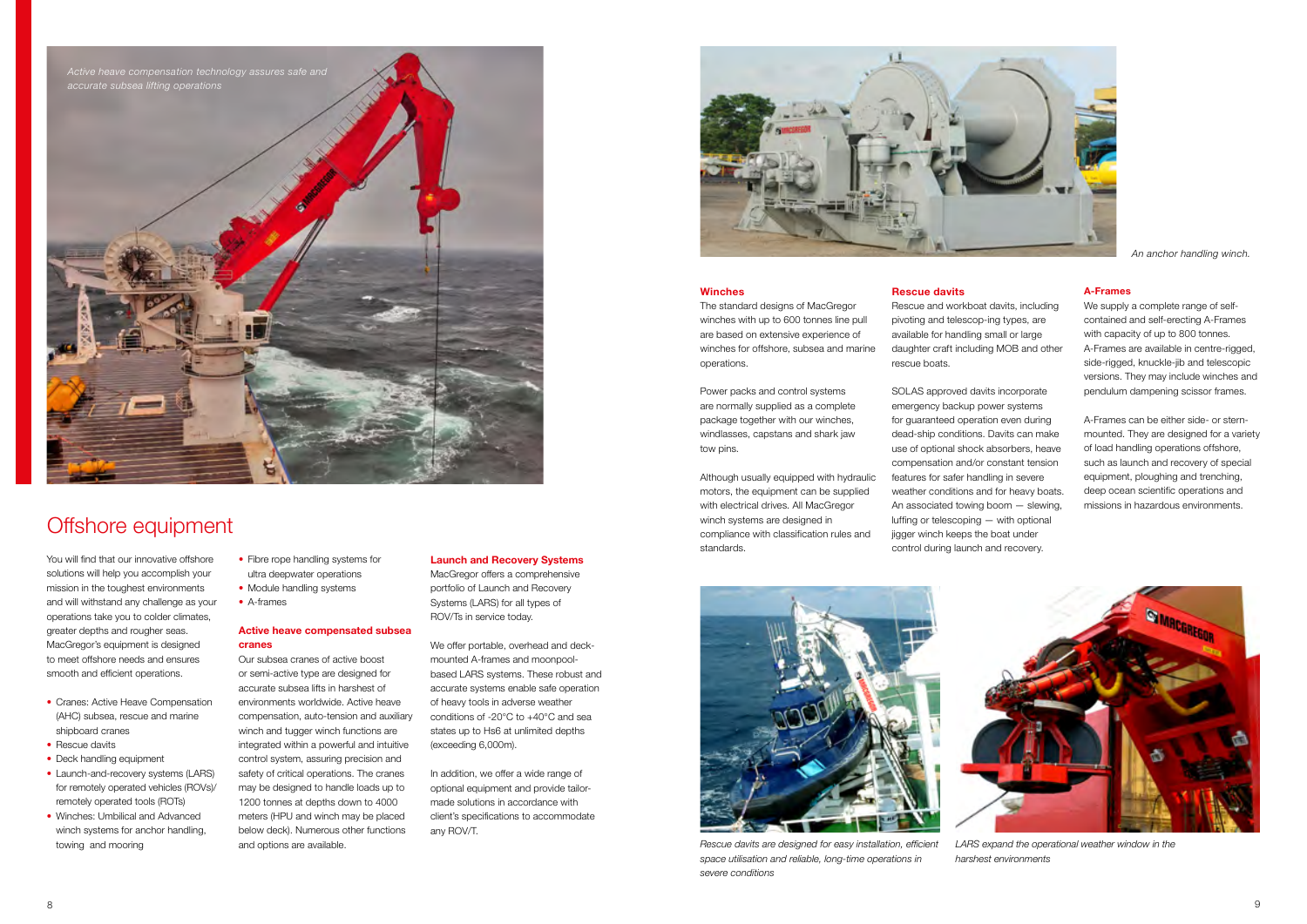

*Rescue davits are designed for easy installation, efficient space utilisation and reliable, long-time operations in severe conditions*



*LARS expand the operational weather window in the harshest environments*

#### **Winches**

The standard designs of MacGregor winches with up to 600 tonnes line pull are based on extensive experience of winches for offshore, subsea and marine operations.

Power packs and control systems are normally supplied as a complete package together with our winches, windlasses, capstans and shark jaw tow pins.

Although usually equipped with hydraulic motors, the equipment can be supplied with electrical drives. All MacGregor winch systems are designed in compliance with classification rules and standards.

- Fibre rope handling systems for ultra deepwater operations
- Module handling systems
- A-frames

You will find that our innovative offshore solutions will help you accomplish your mission in the toughest environments and will withstand any challenge as your operations take you to colder climates, greater depths and rougher seas. MacGregor's equipment is designed to meet offshore needs and ensures smooth and efficient operations.

- Cranes: Active Heave Compensation (AHC) subsea, rescue and marine shipboard cranes
- Rescue davits
- Deck handling equipment
- Launch-and-recovery systems (LARS) for remotely operated vehicles (ROVs)/ remotely operated tools (ROTs)
- Winches: Umbilical and Advanced winch systems for anchor handling, towing and mooring

### Offshore equipment

#### **Active heave compensated subsea cranes**

Our subsea cranes of active boost or semi-active type are designed for accurate subsea lifts in harshest of environments worldwide. Active heave compensation, auto-tension and auxiliary winch and tugger winch functions are integrated within a powerful and intuitive control system, assuring precision and safety of critical operations. The cranes may be designed to handle loads up to 1200 tonnes at depths down to 4000 meters (HPU and winch may be placed below deck). Numerous other functions and options are available.

#### **Rescue davits**

Rescue and workboat davits, including pivoting and telescop-ing types, are available for handling small or large daughter craft including MOB and other rescue boats.

SOLAS approved davits incorporate emergency backup power systems for guaranteed operation even during dead-ship conditions. Davits can make use of optional shock absorbers, heave compensation and/or constant tension features for safer handling in severe weather conditions and for heavy boats. An associated towing boom — slewing, luffing or telescoping — with optional jigger winch keeps the boat under control during launch and recovery.



*An anchor handling winch.*

#### **Launch and Recovery Systems**

MacGregor offers a comprehensive portfolio of Launch and Recovery Systems (LARS) for all types of ROV/Ts in service today.

We offer portable, overhead and deckmounted A-frames and moonpoolbased LARS systems. These robust and accurate systems enable safe operation of heavy tools in adverse weather conditions of -20°C to +40°C and sea states up to Hs6 at unlimited depths (exceeding 6,000m).

In addition, we offer a wide range of optional equipment and provide tailormade solutions in accordance with client's specifications to accommodate any ROV/T.



#### **A-Frames**

We supply a complete range of selfcontained and self-erecting A-Frames with capacity of up to 800 tonnes. A-Frames are available in centre-rigged, side-rigged, knuckle-jib and telescopic versions. They may include winches and pendulum dampening scissor frames.

A-Frames can be either side- or sternmounted. They are designed for a variety of load handling operations offshore, such as launch and recovery of special equipment, ploughing and trenching, deep ocean scientific operations and missions in hazardous environments.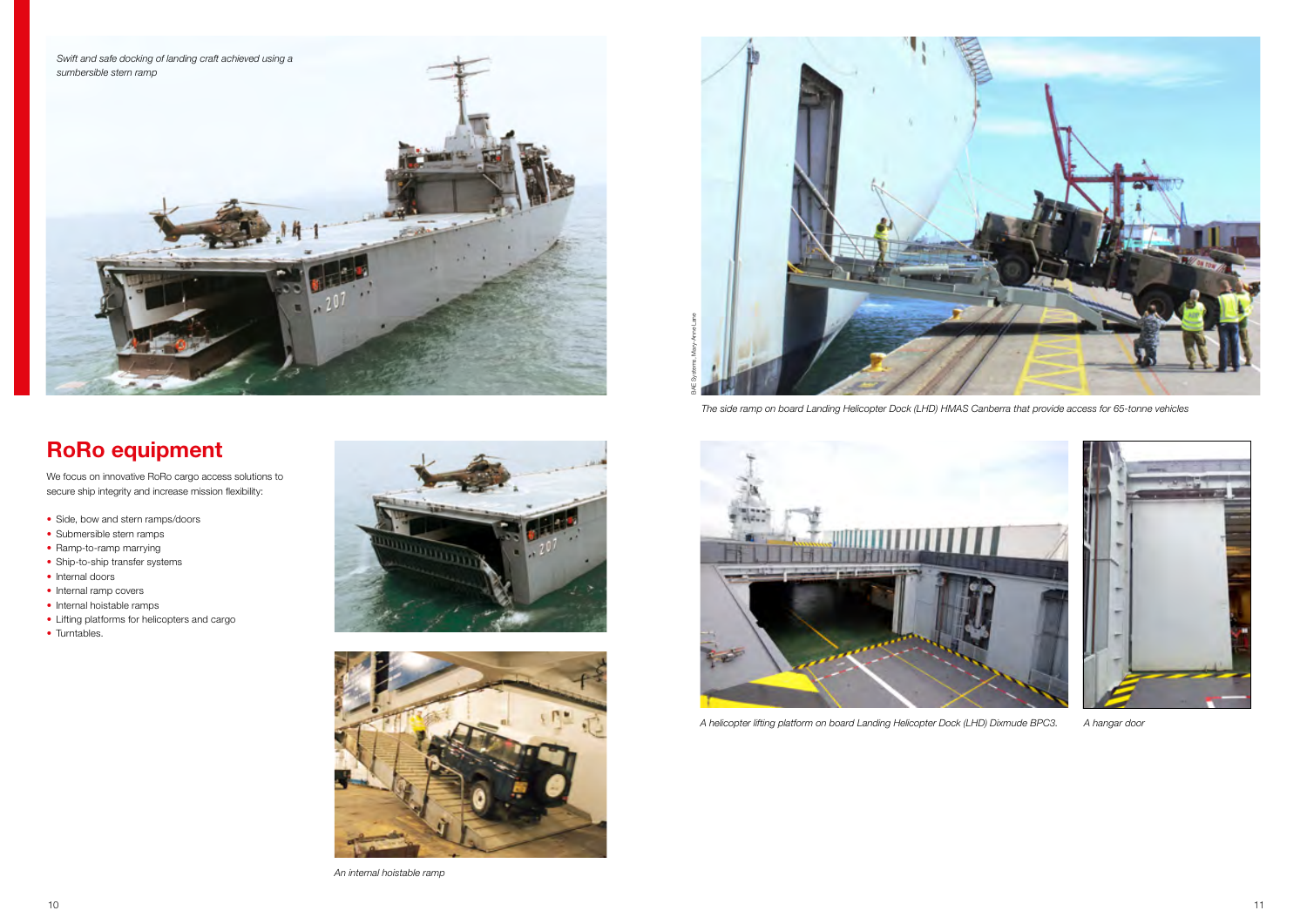

*A helicopter lifting platform on board Landing Helicopter Dock (LHD) Dixmude BPC3. A hangar door*



### **RoRo equipment**

We focus on innovative RoRo cargo access solutions to secure ship integrity and increase mission flexibility:

- Side, bow and stern ramps/doors
- Submersible stern ramps
- Ramp-to-ramp marrying
- Ship-to-ship transfer systems
- Internal doors
- Internal ramp covers
- Internal hoistable ramps
- Lifting platforms for helicopters and cargo
- Turntables.





*An internal hoistable ramp*





*The side ramp on board Landing Helicopter Dock (LHD) HMAS Canberra that provide access for 65-tonne vehicles*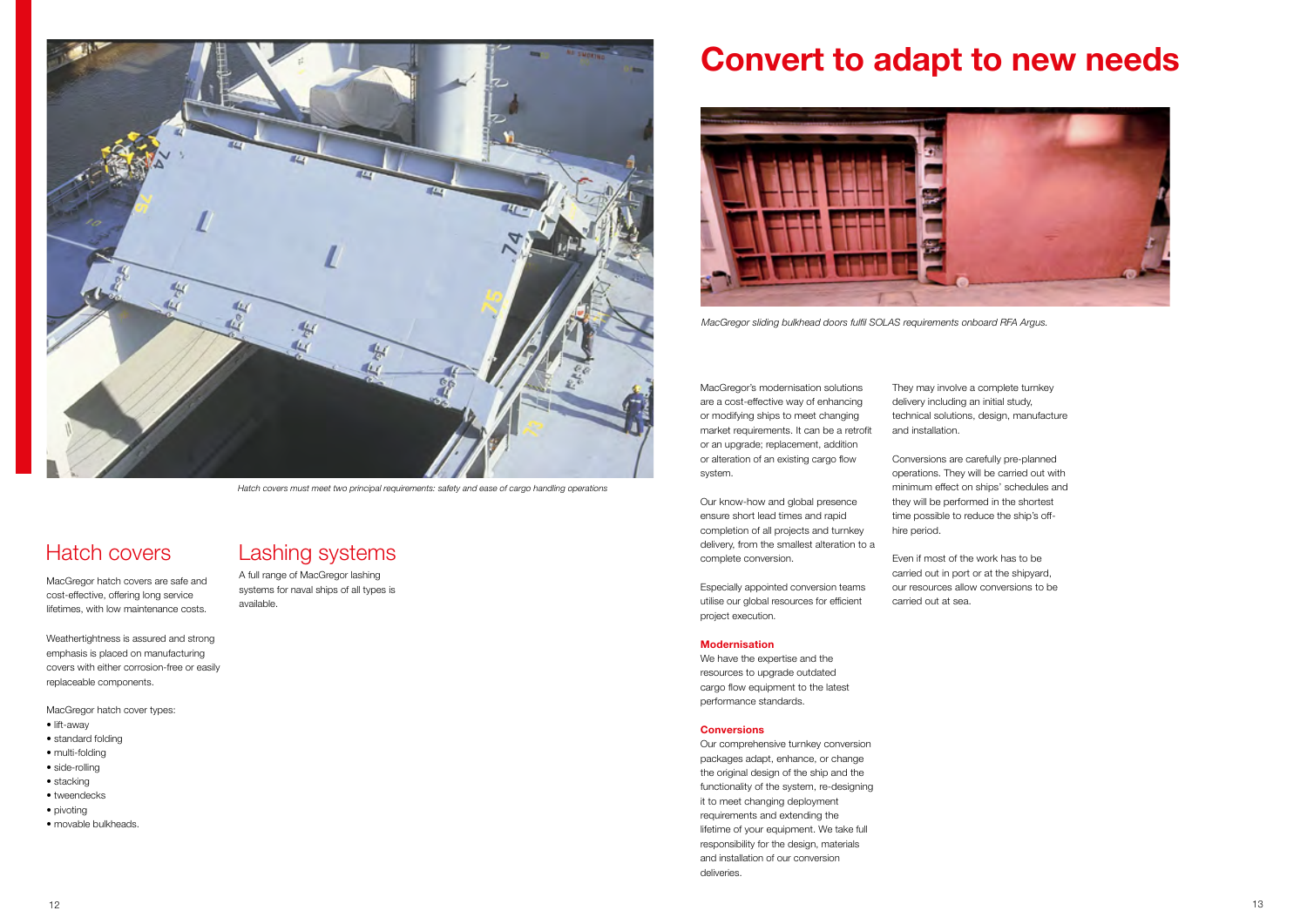MacGregor's modernisation solutions are a cost-effective way of enhancing or modifying ships to meet changing market requirements. It can be a retrofit or an upgrade; replacement, addition or alteration of an existing cargo flow system.

Our know-how and global presence ensure short lead times and rapid completion of all projects and turnkey delivery, from the smallest alteration to a complete conversion.

Especially appointed conversion teams utilise our global resources for efficient project execution.

#### **Modernisation**

We have the expertise and the resources to upgrade outdated cargo flow equipment to the latest performance standards.

#### **Conversions**

Our comprehensive turnkey conversion packages adapt, enhance, or change the original design of the ship and the functionality of the system, re-designing it to meet changing deployment requirements and extending the lifetime of your equipment. We take full responsibility for the design, materials and installation of our conversion deliveries.

## **Convert to adapt to new needs**

They may involve a complete turnkey delivery including an initial study, technical solutions, design, manufacture and installation.

Conversions are carefully pre-planned operations. They will be carried out with minimum effect on ships' schedules and they will be performed in the shortest time possible to reduce the ship's offhire period.

Even if most of the work has to be carried out in port or at the shipyard, our resources allow conversions to be carried out at sea.



*MacGregor sliding bulkhead doors fulfil SOLAS requirements onboard RFA Argus.*

MacGregor hatch covers are safe and cost-effective, offering long service lifetimes, with low maintenance costs.

Weathertightness is assured and strong emphasis is placed on manufacturing covers with either corrosion-free or easily replaceable components.

MacGregor hatch cover types:

- lift-away
- standard folding
- multi-folding
- side-rolling
- stacking
- tweendecks
- pivoting
- movable bulkheads.



*Hatch covers must meet two principal requirements: safety and ease of cargo handling operations* 

### Hatch covers Lashing systems

A full range of MacGregor lashing systems for naval ships of all types is available.